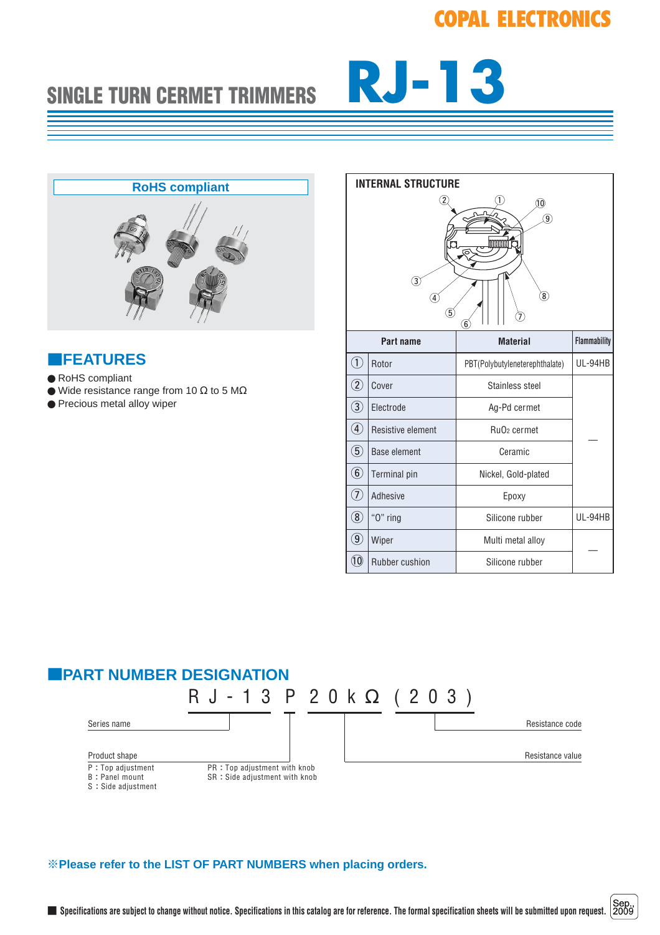# **COPAL ELECTRONICS**

# SINGLE TURN CERMET TRIMMERS **RJ-13**



#### ■**FEATURES**

- RoHS compliant
- $\bullet$  Wide resistance range from 10  $\Omega$  to 5 M $\Omega$
- Precious metal alloy wiper

| <b>INTERNAL STRUCTURE</b>                                                                                                                  |                     |                                     |                     |  |  |
|--------------------------------------------------------------------------------------------------------------------------------------------|---------------------|-------------------------------------|---------------------|--|--|
| $\overline{2}$<br>1<br>10<br>$\widehat{9}$<br>3<br>$\widehat{\mathbf{8}}$<br>4<br>$\left( 5\right)$<br>$\left(\widehat{\mathbf{6}}\right)$ |                     |                                     |                     |  |  |
| Part name                                                                                                                                  |                     | <b>Material</b>                     | <b>Flammability</b> |  |  |
| $\left( \overline{1}\right)$                                                                                                               | Rotor               | PBT(Polybutyleneterephthalate)      | UL-94HB             |  |  |
| $\circled{2}$                                                                                                                              | Cover               | Stainless steel                     |                     |  |  |
| $\circled{3}$                                                                                                                              | Electrode           | Ag-Pd cermet                        |                     |  |  |
| $\bigcircledA$                                                                                                                             | Resistive element   | Ru <sub>O</sub> <sub>2</sub> cermet |                     |  |  |
| $\circledS$                                                                                                                                | <b>Base element</b> | Ceramic                             |                     |  |  |
| $\circled6$                                                                                                                                | <b>Terminal</b> pin | Nickel, Gold-plated                 |                     |  |  |
| T)                                                                                                                                         | Adhesive            | Epoxy                               |                     |  |  |
| $\circledS$                                                                                                                                | "O" ring            | Silicone rubber                     | UL-94HB             |  |  |
| $\circledcirc$                                                                                                                             | Wiper               | Multi metal alloy                   |                     |  |  |
| O                                                                                                                                          | Rubber cushion      | Silicone rubber                     |                     |  |  |



#### ※**Please refer to the LIST OF PART NUMBERS when placing orders.**

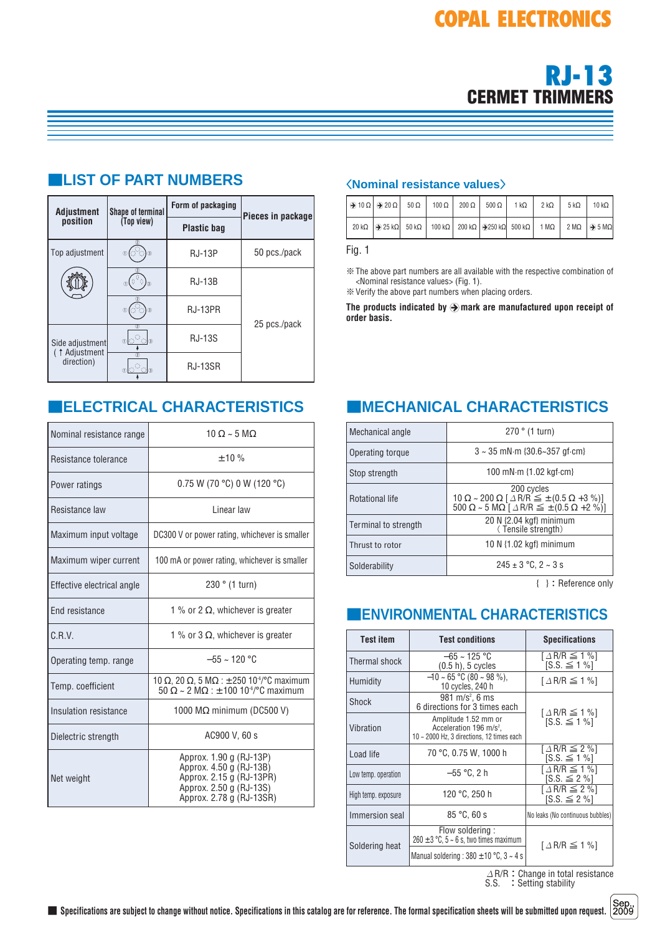

| <b>Adjustment</b>              | <b>Shape of terminal</b>                | Form of packaging  | Pieces in package |  |
|--------------------------------|-----------------------------------------|--------------------|-------------------|--|
| position                       | (Top view)                              | <b>Plastic bag</b> |                   |  |
| Top adjustment                 | $^{\circ}$<br>$3$                       | <b>RJ-13P</b>      | 50 pcs./pack      |  |
|                                | $\mathbb{O}(\frac{1}{2})$<br>$\sqrt{3}$ | <b>RJ-13B</b>      |                   |  |
|                                | (3)<br>(1)                              | RJ-13PR            |                   |  |
| Side adjustment                | $\left( 2\right)$<br>ര⊠്ി⊚              | <b>RJ-13S</b>      | 25 pcs./pack      |  |
| ( $†$ Adjustment<br>direction) | $\overline{2}$<br>(1)                   | <b>RJ-13SR</b>     |                   |  |

# ■**LIST OF PART NUMBERS**

| Nominal resistance range   | $10 \Omega \sim 5 \text{ M}\Omega$                                                                                                                           |  |  |
|----------------------------|--------------------------------------------------------------------------------------------------------------------------------------------------------------|--|--|
| Resistance tolerance       | $+10%$                                                                                                                                                       |  |  |
| Power ratings              | 0.75 W (70 °C) 0 W (120 °C)                                                                                                                                  |  |  |
| Resistance law             | Linear law                                                                                                                                                   |  |  |
| Maximum input voltage      | DC300 V or power rating, whichever is smaller                                                                                                                |  |  |
| Maximum wiper current      | 100 mA or power rating, whichever is smaller                                                                                                                 |  |  |
| Effective electrical angle | 230 ° (1 turn)                                                                                                                                               |  |  |
| <b>End resistance</b>      | 1 % or 2 $\Omega$ , whichever is greater                                                                                                                     |  |  |
| C.R.V.                     | 1 % or 3 $\Omega$ , whichever is greater                                                                                                                     |  |  |
| Operating temp. range      | $-55 \approx 120$ °C                                                                                                                                         |  |  |
| Temp. coefficient          | 10 $\Omega$ , 20 $\Omega$ , 5 M $\Omega$ : $\pm$ 250 10 <sup>-6</sup> /°C maximum<br>$50 \Omega \sim 2 \text{ M}\Omega$ : ± 100 10 <sup>-6</sup> /°C maximum |  |  |
| Insulation resistance      | 1000 $\text{M}\Omega$ minimum (DC500 V)                                                                                                                      |  |  |
| Dielectric strength        | AC900 V, 60 s                                                                                                                                                |  |  |
| Net weight                 | Approx. 1.90 g (RJ-13P)<br>Approx. 4.50 g (RJ-13B)<br>Approx. 2.15 g (RJ-13PR)<br>Approx. 2.50 g (RJ-13S)<br>Approx. 2.78 g (RJ-13SR)                        |  |  |

#### 〈**Nominal resistance values**〉

|  |  | $\Theta$ 10 $\Omega$ $\Theta$ 20 $\Omega$ 50 $\Omega$ 100 $\Omega$ 200 $\Omega$ 500 $\Omega$ 1 k $\Omega$ 1                                                            | $2 k\Omega$ | $5 \text{ k}\Omega$ | $10 k\Omega$ |
|--|--|------------------------------------------------------------------------------------------------------------------------------------------------------------------------|-------------|---------------------|--------------|
|  |  | $20 k\Omega$ $\Theta$ 25 k $\Omega$ 50 k $\Omega$ 100 k $\Omega$ 200 k $\Omega$ $\Theta$ 250 k $\Omega$ 500 k $\Omega$ 1 M $\Omega$ 2 M $\Omega$ $\Theta$ 5 M $\Omega$ |             |                     |              |

Fig. 1

※The above part numbers are all available with the respective combination of <Nominal resistance values> (Fig. 1). ※Verify the above part numbers when placing orders.

The products indicated by  $\bigcirc$  mark are manufactured upon receipt of **order basis.**

# ■**ELECTRICAL CHARACTERISTICS** ■**MECHANICAL CHARACTERISTICS**

| Mechanical angle       | 270 ° (1 turn)                                                                                                                                                                                    |  |  |
|------------------------|---------------------------------------------------------------------------------------------------------------------------------------------------------------------------------------------------|--|--|
| Operating torque       | $3 \sim 35$ mN $\cdot$ m {30.6~357 qf $\cdot$ cm}                                                                                                                                                 |  |  |
| Stop strength          | 100 mN·m {1.02 kgf·cm}                                                                                                                                                                            |  |  |
| <b>Rotational life</b> | 200 cycles<br>$10 \Omega \sim 200 \Omega$ $\left[\Delta$ R/R $\leq \pm (0.5 \Omega + 3 \%) \right]$<br>$500 \Omega \sim 5 \text{ M}\Omega$ $\Delta$ R/R $\leq \pm (0.5 \Omega + 2 \frac{\%}{10})$ |  |  |
| Terminal to strength   | 20 N {2.04 kgf} minimum<br>(Tensile strength)                                                                                                                                                     |  |  |
| Thrust to rotor        | 10 N $\{1.02 \text{ kgf}\}\$ minimum                                                                                                                                                              |  |  |
| Solderability          | $245 \pm 3$ °C, 2 ~ 3 s                                                                                                                                                                           |  |  |

{ }:Reference only

### ■**ENVIRONMENTAL CHARACTERISTICS**

| <b>Test item</b>              | <b>Test conditions</b>                                                                                   | <b>Specifications</b>                                     |  |
|-------------------------------|----------------------------------------------------------------------------------------------------------|-----------------------------------------------------------|--|
| Thermal shock                 | $-65 \sim 125$ °C<br>$(0.5 h)$ , 5 cycles                                                                | $\lceil \Delta R/R \leq 1 \% \rceil$<br>$SS \leq 1\%$     |  |
| Humidity                      | $-10 \sim 65$ °C (80 $\sim$ 98 %).<br>10 cycles, 240 h                                                   | $\lceil \Delta R/R \leq 1 \% \rceil$                      |  |
| Shock                         | 981 m/s <sup>2</sup> , 6 ms<br>6 directions for 3 times each                                             |                                                           |  |
| Vibration                     | Amplitude 1.52 mm or<br>Acceleration 196 m/s <sup>2</sup> .<br>10 ~ 2000 Hz, 3 directions, 12 times each | $\lceil \Delta R/R \leq 1 \% \rceil$<br>$[S.S. \leq 1\%]$ |  |
| Load life                     | 70 °C, 0.75 W, 1000 h                                                                                    |                                                           |  |
| Low temp. operation           | $-55 °C$ , 2 h                                                                                           | $\lceil \Delta R/R \leq 1 \% \rceil$<br>$[S.S. \leq 2\%]$ |  |
| High temp. exposure           | 120 °C, 250 h                                                                                            |                                                           |  |
| 85 °C. 60 s<br>Immersion seal |                                                                                                          | No leaks (No continuous bubbles)                          |  |
| Soldering heat                | Flow soldering:<br>$260 \pm 3$ °C, 5 ~ 6 s, two times maximum                                            | $\lceil \Delta R/R \leq 1 \% \rceil$                      |  |
|                               | Manual soldering : $380 \pm 10$ °C, $3 \sim 4$ s                                                         |                                                           |  |

 $\varDelta$ R/R:Change in total resistance S.S. : Setting stability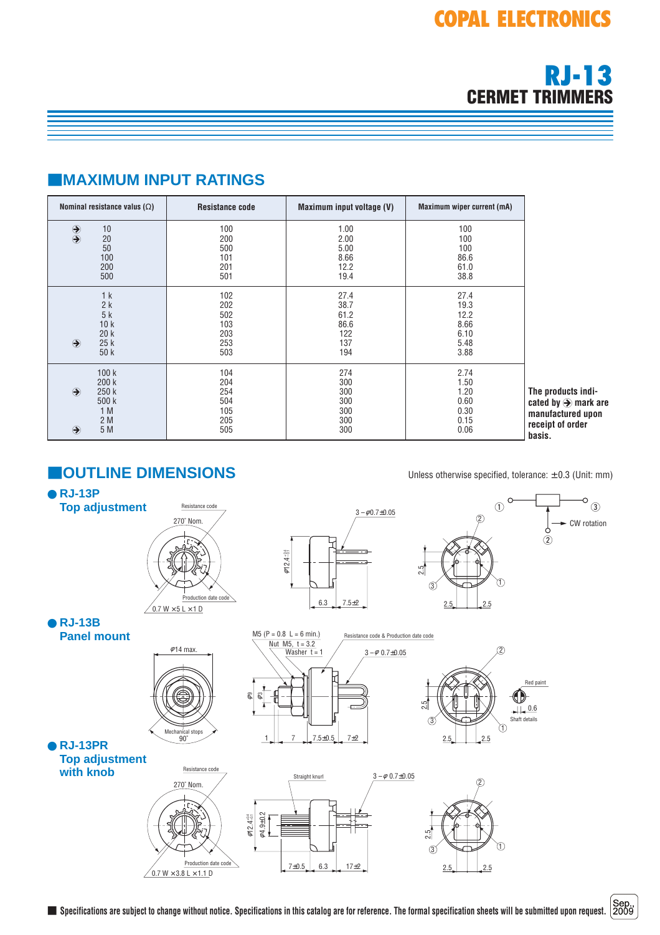# **RJ-13 CERMET TRIMMERS**

# ■**MAXIMUM INPUT RATINGS**

| Nominal resistance valus $(\Omega)$                                            | <b>Resistance code</b>                        | Maximum input voltage (V)                         | <b>Maximum wiper current (mA)</b>                    |                                                                                                       |
|--------------------------------------------------------------------------------|-----------------------------------------------|---------------------------------------------------|------------------------------------------------------|-------------------------------------------------------------------------------------------------------|
| $\bigcirc$<br>10<br>20<br>50<br>100<br>200<br>500                              | 100<br>200<br>500<br>101<br>201<br>501        | 1.00<br>2.00<br>5.00<br>8.66<br>12.2<br>19.4      | 100<br>100<br>100<br>86.6<br>61.0<br>38.8            |                                                                                                       |
| 1k<br>2k<br>5k<br>10k<br>20k<br>$\bigodot$<br>25k<br>50 k                      | 102<br>202<br>502<br>103<br>203<br>253<br>503 | 27.4<br>38.7<br>61.2<br>86.6<br>122<br>137<br>194 | 27.4<br>19.3<br>12.2<br>8.66<br>6.10<br>5.48<br>3.88 |                                                                                                       |
| 100k<br>200k<br>$\bigodot$<br>250 k<br>500k<br>1 M<br>2 M<br>5 M<br>$\bigcirc$ | 104<br>204<br>254<br>504<br>105<br>205<br>505 | 274<br>300<br>300<br>300<br>300<br>300<br>300     | 2.74<br>1.50<br>1.20<br>0.60<br>0.30<br>0.15<br>0.06 | The products indi-<br>cated by $\bigcirc$ mark are<br>manufactured upon<br>receipt of order<br>basis. |

# ■**OUTLINE DIMENSIONS** Unless otherwise specified, tolerance: <sup>±</sup> 0.3 (Unit: mm)